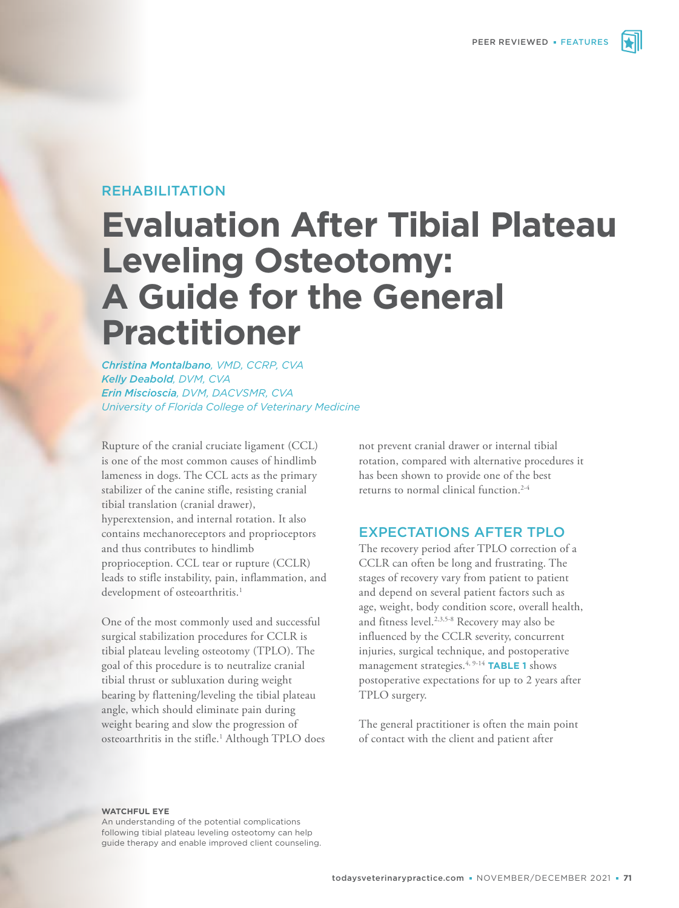# REHABILITATION

# **Evaluation After Tibial Plateau Leveling Osteotomy: A Guide for the General Practitioner**

*Christina Montalbano, VMD, CCRP, CVA Kelly Deabold, DVM, CVA Erin Miscioscia, DVM, DACVSMR, CVA University of Florida College of Veterinary Medicine*

Rupture of the cranial cruciate ligament (CCL) is one of the most common causes of hindlimb lameness in dogs. The CCL acts as the primary stabilizer of the canine stifle, resisting cranial tibial translation (cranial drawer), hyperextension, and internal rotation. It also contains mechanoreceptors and proprioceptors and thus contributes to hindlimb proprioception. CCL tear or rupture (CCLR) leads to stifle instability, pain, inflammation, and development of osteoarthritis.<sup>1</sup>

One of the most commonly used and successful surgical stabilization procedures for CCLR is tibial plateau leveling osteotomy (TPLO). The goal of this procedure is to neutralize cranial tibial thrust or subluxation during weight bearing by flattening/leveling the tibial plateau angle, which should eliminate pain during weight bearing and slow the progression of osteoarthritis in the stifle.<sup>1</sup> Although TPLO does not prevent cranial drawer or internal tibial rotation, compared with alternative procedures it has been shown to provide one of the best returns to normal clinical function.<sup>2-4</sup>

#### EXPECTATIONS AFTER TPLO

The recovery period after TPLO correction of a CCLR can often be long and frustrating. The stages of recovery vary from patient to patient and depend on several patient factors such as age, weight, body condition score, overall health, and fitness level.<sup>2,3,5-8</sup> Recovery may also be influenced by the CCLR severity, concurrent injuries, surgical technique, and postoperative management strategies.4, 9-14 **TABLE 1** shows postoperative expectations for up to 2 years after TPLO surgery.

The general practitioner is often the main point of contact with the client and patient after

**WATCHFUL EYE**

An understanding of the potential complications following tibial plateau leveling osteotomy can help guide therapy and enable improved client counseling.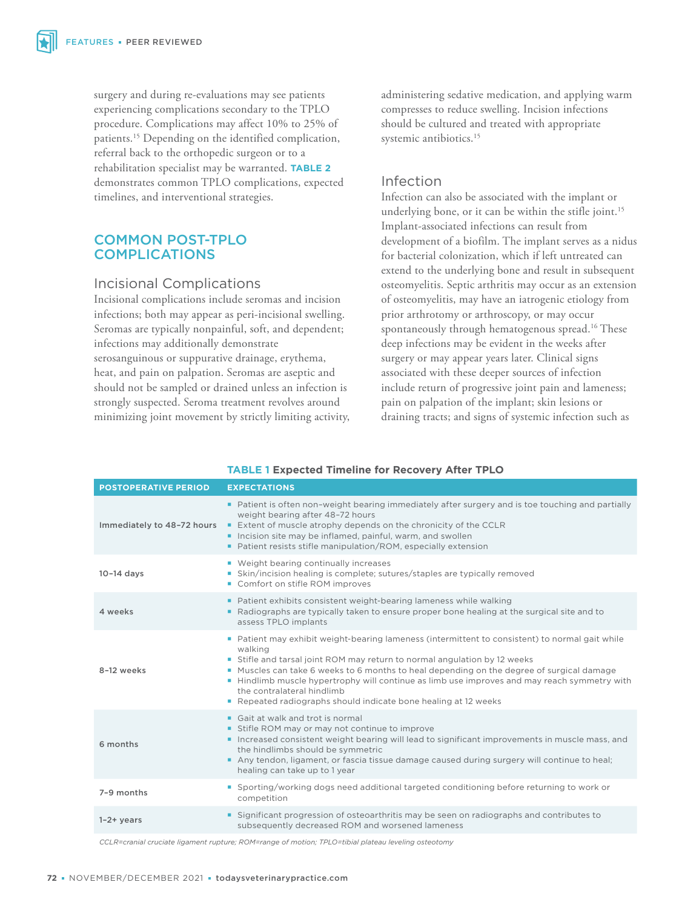surgery and during re-evaluations may see patients experiencing complications secondary to the TPLO procedure. Complications may affect 10% to 25% of patients.15 Depending on the identified complication, referral back to the orthopedic surgeon or to a rehabilitation specialist may be warranted. **TABLE 2** demonstrates common TPLO complications, expected timelines, and interventional strategies.

### COMMON POST-TPLO COMPLICATIONS

#### Incisional Complications

Incisional complications include seromas and incision infections; both may appear as peri-incisional swelling. Seromas are typically nonpainful, soft, and dependent; infections may additionally demonstrate serosanguinous or suppurative drainage, erythema, heat, and pain on palpation. Seromas are aseptic and should not be sampled or drained unless an infection is strongly suspected. Seroma treatment revolves around minimizing joint movement by strictly limiting activity, administering sedative medication, and applying warm compresses to reduce swelling. Incision infections should be cultured and treated with appropriate systemic antibiotics.<sup>15</sup>

## Infection

Infection can also be associated with the implant or underlying bone, or it can be within the stifle joint.<sup>15</sup> Implant-associated infections can result from development of a biofilm. The implant serves as a nidus for bacterial colonization, which if left untreated can extend to the underlying bone and result in subsequent osteomyelitis. Septic arthritis may occur as an extension of osteomyelitis, may have an iatrogenic etiology from prior arthrotomy or arthroscopy, or may occur spontaneously through hematogenous spread.<sup>16</sup> These deep infections may be evident in the weeks after surgery or may appear years later. Clinical signs associated with these deeper sources of infection include return of progressive joint pain and lameness; pain on palpation of the implant; skin lesions or draining tracts; and signs of systemic infection such as

| <b>POSTOPERATIVE PERIOD</b> | <b>EXPECTATIONS</b>                                                                                                                                                                                                                                                                                                                                                                                                                                                           |  |  |
|-----------------------------|-------------------------------------------------------------------------------------------------------------------------------------------------------------------------------------------------------------------------------------------------------------------------------------------------------------------------------------------------------------------------------------------------------------------------------------------------------------------------------|--|--|
| Immediately to 48-72 hours  | • Patient is often non-weight bearing immediately after surgery and is toe touching and partially<br>weight bearing after 48-72 hours<br>Extent of muscle atrophy depends on the chronicity of the CCLR<br>Incision site may be inflamed, painful, warm, and swollen<br>■ Patient resists stifle manipulation/ROM, especially extension                                                                                                                                       |  |  |
| $10-14$ days                | • Weight bearing continually increases<br>Skin/incision healing is complete; sutures/staples are typically removed<br>a.<br>Comfort on stifle ROM improves                                                                                                                                                                                                                                                                                                                    |  |  |
| 4 weeks                     | Patient exhibits consistent weight-bearing lameness while walking<br>Radiographs are typically taken to ensure proper bone healing at the surgical site and to<br>٠<br>assess TPLO implants                                                                                                                                                                                                                                                                                   |  |  |
| 8-12 weeks                  | Patient may exhibit weight-bearing lameness (intermittent to consistent) to normal gait while<br>walking<br>Stifle and tarsal joint ROM may return to normal angulation by 12 weeks<br>Muscles can take 6 weeks to 6 months to heal depending on the degree of surgical damage<br>■ Hindlimb muscle hypertrophy will continue as limb use improves and may reach symmetry with<br>the contralateral hindlimb<br>Repeated radiographs should indicate bone healing at 12 weeks |  |  |
| 6 months                    | • Gait at walk and trot is normal<br>Stifle ROM may or may not continue to improve<br>Increased consistent weight bearing will lead to significant improvements in muscle mass, and<br>the hindlimbs should be symmetric<br>Any tendon, ligament, or fascia tissue damage caused during surgery will continue to heal;<br>healing can take up to 1 year                                                                                                                       |  |  |
| 7-9 months                  | • Sporting/working dogs need additional targeted conditioning before returning to work or<br>competition                                                                                                                                                                                                                                                                                                                                                                      |  |  |
| $1-2+years$                 | Significant progression of osteoarthritis may be seen on radiographs and contributes to<br>٠<br>subsequently decreased ROM and worsened lameness                                                                                                                                                                                                                                                                                                                              |  |  |

#### **TABLE 1 Expected Timeline for Recovery After TPLO**

*CCLR=cranial cruciate ligament rupture; ROM=range of motion; TPLO=tibial plateau leveling osteotomy*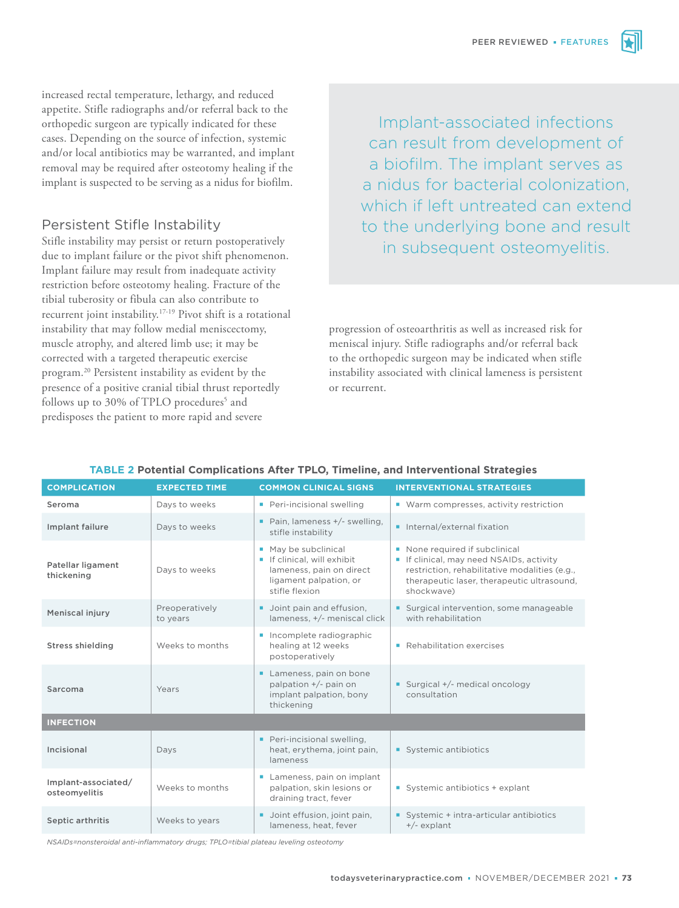increased rectal temperature, lethargy, and reduced appetite. Stifle radiographs and/or referral back to the orthopedic surgeon are typically indicated for these cases. Depending on the source of infection, systemic and/or local antibiotics may be warranted, and implant removal may be required after osteotomy healing if the implant is suspected to be serving as a nidus for biofilm.

## Persistent Stifle Instability

Stifle instability may persist or return postoperatively due to implant failure or the pivot shift phenomenon. Implant failure may result from inadequate activity restriction before osteotomy healing. Fracture of the tibial tuberosity or fibula can also contribute to recurrent joint instability.17-19 Pivot shift is a rotational instability that may follow medial meniscectomy, muscle atrophy, and altered limb use; it may be corrected with a targeted therapeutic exercise program.20 Persistent instability as evident by the presence of a positive cranial tibial thrust reportedly follows up to 30% of TPLO procedures<sup>5</sup> and predisposes the patient to more rapid and severe

Implant-associated infections can result from development of a biofilm. The implant serves as a nidus for bacterial colonization, which if left untreated can extend to the underlying bone and result in subsequent osteomyelitis.

progression of osteoarthritis as well as increased risk for meniscal injury. Stifle radiographs and/or referral back to the orthopedic surgeon may be indicated when stifle instability associated with clinical lameness is persistent or recurrent.

| <b>COMPLICATION</b>                  | <b>EXPECTED TIME</b>       | <b>COMMON CLINICAL SIGNS</b>                                                                                            | <b>INTERVENTIONAL STRATEGIES</b>                                                                                                                                                    |  |  |  |
|--------------------------------------|----------------------------|-------------------------------------------------------------------------------------------------------------------------|-------------------------------------------------------------------------------------------------------------------------------------------------------------------------------------|--|--|--|
| Seroma                               | Days to weeks              | Peri-incisional swelling                                                                                                | ■ Warm compresses, activity restriction                                                                                                                                             |  |  |  |
| Implant failure                      | Days to weeks              | Pain, lameness $+/-$ swelling,<br>stifle instability                                                                    | Internal/external fixation                                                                                                                                                          |  |  |  |
| Patellar ligament<br>thickening      | Days to weeks              | May be subclinical<br>If clinical, will exhibit<br>lameness, pain on direct<br>ligament palpation, or<br>stifle flexion | None required if subclinical<br>If clinical, may need NSAIDs, activity<br>restriction, rehabilitative modalities (e.g.,<br>therapeutic laser, therapeutic ultrasound,<br>shockwave) |  |  |  |
| Meniscal injury                      | Preoperatively<br>to years | Upint pain and effusion,<br>lameness, +/- meniscal click                                                                | Surgical intervention, some manageable<br>with rehabilitation                                                                                                                       |  |  |  |
| <b>Stress shielding</b>              | Weeks to months            | Incomplete radiographic<br>healing at 12 weeks<br>postoperatively                                                       | • Rehabilitation exercises                                                                                                                                                          |  |  |  |
| Sarcoma                              | Years                      | Lameness, pain on bone<br>palpation +/- pain on<br>implant palpation, bony<br>thickening                                | Surgical +/- medical oncology<br>consultation                                                                                                                                       |  |  |  |
| <b>INFECTION</b>                     |                            |                                                                                                                         |                                                                                                                                                                                     |  |  |  |
| Incisional                           | Days                       | Peri-incisional swelling,<br>heat, erythema, joint pain,<br>lameness                                                    | Systemic antibiotics                                                                                                                                                                |  |  |  |
| Implant-associated/<br>osteomyelitis | Weeks to months            | Lameness, pain on implant<br>palpation, skin lesions or<br>draining tract, fever                                        | Systemic antibiotics + explant                                                                                                                                                      |  |  |  |
| Septic arthritis                     | Weeks to years             | Joint effusion, joint pain,<br>٠<br>lameness, heat, fever                                                               | Systemic + intra-articular antibiotics<br>$+/-$ explant                                                                                                                             |  |  |  |

#### **TABLE 2 Potential Complications After TPLO, Timeline, and Interventional Strategies**

*NSAIDs=nonsteroidal anti-inflammatory drugs; TPLO=tibial plateau leveling osteotomy*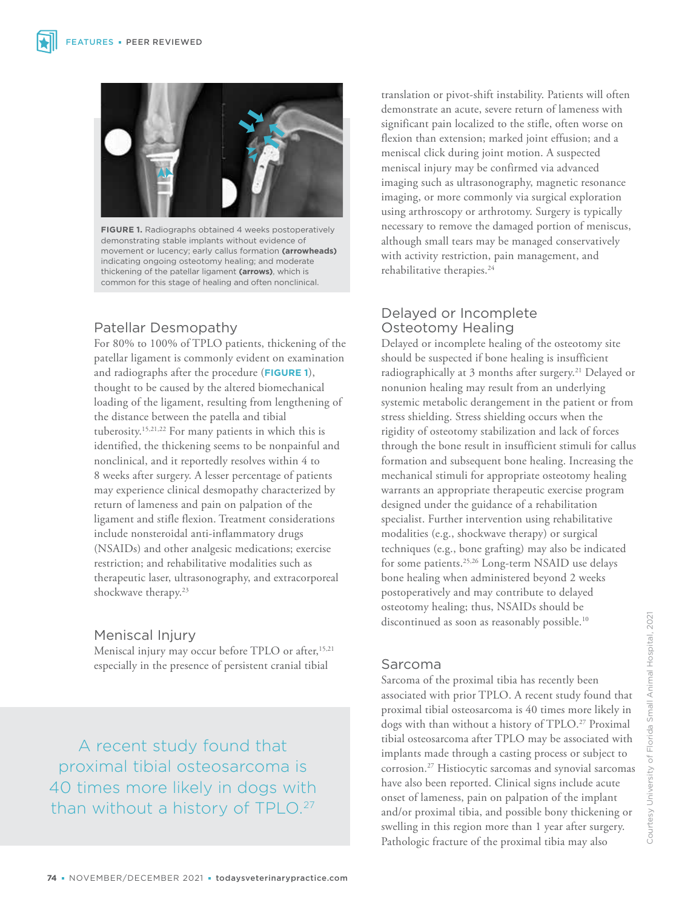

**FIGURE 1.** Radiographs obtained 4 weeks postoperatively demonstrating stable implants without evidence of movement or lucency; early callus formation **(arrowheads)** indicating ongoing osteotomy healing; and moderate thickening of the patellar ligament **(arrows)**, which is common for this stage of healing and often nonclinical.

# Patellar Desmopathy

For 80% to 100% of TPLO patients, thickening of the patellar ligament is commonly evident on examination and radiographs after the procedure (**FIGURE 1**), thought to be caused by the altered biomechanical loading of the ligament, resulting from lengthening of the distance between the patella and tibial tuberosity.15,21,22 For many patients in which this is identified, the thickening seems to be nonpainful and nonclinical, and it reportedly resolves within 4 to 8 weeks after surgery. A lesser percentage of patients may experience clinical desmopathy characterized by return of lameness and pain on palpation of the ligament and stifle flexion. Treatment considerations include nonsteroidal anti-inflammatory drugs (NSAIDs) and other analgesic medications; exercise restriction; and rehabilitative modalities such as therapeutic laser, ultrasonography, and extracorporeal shockwave therapy.<sup>23</sup>

### Meniscal Injury

Meniscal injury may occur before TPLO or after,<sup>15,21</sup> especially in the presence of persistent cranial tibial

A recent study found that proximal tibial osteosarcoma is 40 times more likely in dogs with than without a history of TPLO.<sup>27</sup> translation or pivot-shift instability. Patients will often demonstrate an acute, severe return of lameness with significant pain localized to the stifle, often worse on flexion than extension; marked joint effusion; and a meniscal click during joint motion. A suspected meniscal injury may be confirmed via advanced imaging such as ultrasonography, magnetic resonance imaging, or more commonly via surgical exploration using arthroscopy or arthrotomy. Surgery is typically necessary to remove the damaged portion of meniscus, although small tears may be managed conservatively with activity restriction, pain management, and rehabilitative therapies.<sup>24</sup>

# Delayed or Incomplete Osteotomy Healing

Delayed or incomplete healing of the osteotomy site should be suspected if bone healing is insufficient radiographically at 3 months after surgery.<sup>21</sup> Delayed or nonunion healing may result from an underlying systemic metabolic derangement in the patient or from stress shielding. Stress shielding occurs when the rigidity of osteotomy stabilization and lack of forces through the bone result in insufficient stimuli for callus formation and subsequent bone healing. Increasing the mechanical stimuli for appropriate osteotomy healing warrants an appropriate therapeutic exercise program designed under the guidance of a rehabilitation specialist. Further intervention using rehabilitative modalities (e.g., shockwave therapy) or surgical techniques (e.g., bone grafting) may also be indicated for some patients.<sup>25,26</sup> Long-term NSAID use delays bone healing when administered beyond 2 weeks postoperatively and may contribute to delayed osteotomy healing; thus, NSAIDs should be discontinued as soon as reasonably possible.<sup>10</sup>

### Sarcoma

Sarcoma of the proximal tibia has recently been associated with prior TPLO. A recent study found that proximal tibial osteosarcoma is 40 times more likely in dogs with than without a history of TPLO.<sup>27</sup> Proximal tibial osteosarcoma after TPLO may be associated with implants made through a casting process or subject to corrosion.27 Histiocytic sarcomas and synovial sarcomas have also been reported. Clinical signs include acute onset of lameness, pain on palpation of the implant and/or proximal tibia, and possible bony thickening or swelling in this region more than 1 year after surgery. Pathologic fracture of the proximal tibia may also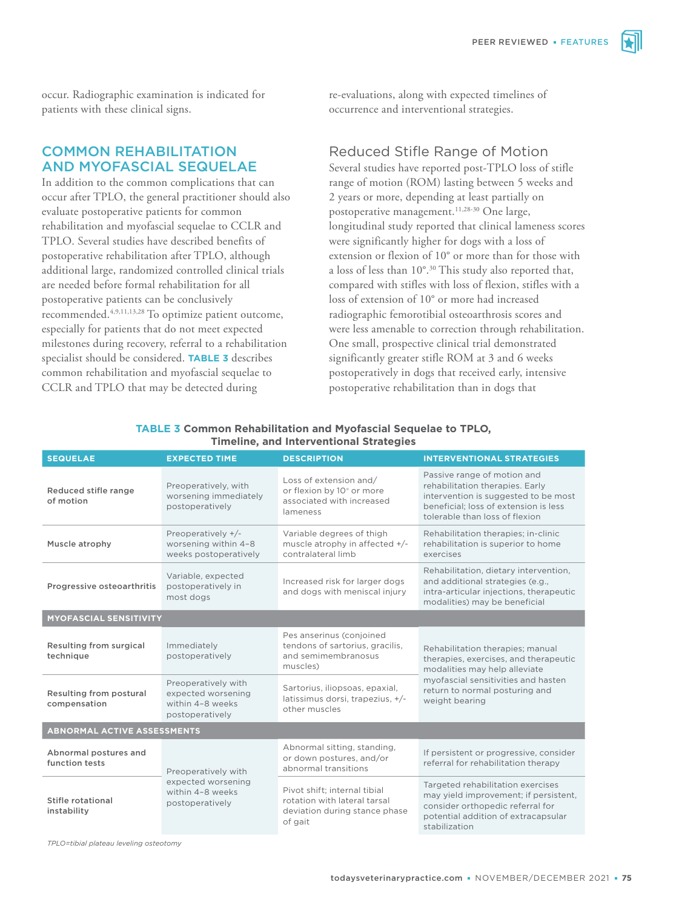occur. Radiographic examination is indicated for patients with these clinical signs.

COMMON REHABILITATION AND MYOFASCIAL SEQUELAE

In addition to the common complications that can occur after TPLO, the general practitioner should also evaluate postoperative patients for common rehabilitation and myofascial sequelae to CCLR and TPLO. Several studies have described benefits of postoperative rehabilitation after TPLO, although additional large, randomized controlled clinical trials are needed before formal rehabilitation for all postoperative patients can be conclusively recommended.4,9,11,13,28 To optimize patient outcome, especially for patients that do not meet expected milestones during recovery, referral to a rehabilitation specialist should be considered. **TABLE 3** describes common rehabilitation and myofascial sequelae to CCLR and TPLO that may be detected during

re-evaluations, along with expected timelines of occurrence and interventional strategies.

#### Reduced Stifle Range of Motion

Several studies have reported post-TPLO loss of stifle range of motion (ROM) lasting between 5 weeks and 2 years or more, depending at least partially on postoperative management.<sup>11,28-30</sup> One large, longitudinal study reported that clinical lameness scores were significantly higher for dogs with a loss of extension or flexion of 10° or more than for those with a loss of less than 10°.30 This study also reported that, compared with stifles with loss of flexion, stifles with a loss of extension of 10° or more had increased radiographic femorotibial osteoarthrosis scores and were less amenable to correction through rehabilitation. One small, prospective clinical trial demonstrated significantly greater stifle ROM at 3 and 6 weeks postoperatively in dogs that received early, intensive postoperative rehabilitation than in dogs that

| <b>SEQUELAE</b>                         | <b>EXPECTED TIME</b>                                                             | <b>DESCRIPTION</b>                                                                                       | <b>INTERVENTIONAL STRATEGIES</b>                                                                                                                                                  |  |  |  |
|-----------------------------------------|----------------------------------------------------------------------------------|----------------------------------------------------------------------------------------------------------|-----------------------------------------------------------------------------------------------------------------------------------------------------------------------------------|--|--|--|
| Reduced stifle range<br>of motion       | Preoperatively, with<br>worsening immediately<br>postoperatively                 | Loss of extension and/<br>or flexion by 10° or more<br>associated with increased<br>lameness             | Passive range of motion and<br>rehabilitation therapies. Early<br>intervention is suggested to be most<br>beneficial: loss of extension is less<br>tolerable than loss of flexion |  |  |  |
| Muscle atrophy                          | Preoperatively +/-<br>worsening within 4-8<br>weeks postoperatively              | Variable degrees of thigh<br>muscle atrophy in affected +/-<br>contralateral limb                        | Rehabilitation therapies; in-clinic<br>rehabilitation is superior to home<br>exercises                                                                                            |  |  |  |
| Progressive osteoarthritis              | Variable, expected<br>postoperatively in<br>most dogs                            | Increased risk for larger dogs<br>and dogs with meniscal injury                                          | Rehabilitation, dietary intervention,<br>and additional strategies (e.g.,<br>intra-articular injections, therapeutic<br>modalities) may be beneficial                             |  |  |  |
| <b>MYOFASCIAL SENSITIVITY</b>           |                                                                                  |                                                                                                          |                                                                                                                                                                                   |  |  |  |
| Resulting from surgical<br>technique    | Immediately<br>postoperatively                                                   | Pes anserinus (conjoined<br>tendons of sartorius, gracilis,<br>and semimembranosus<br>muscles)           | Rehabilitation therapies; manual<br>therapies, exercises, and therapeutic<br>modalities may help alleviate                                                                        |  |  |  |
| Resulting from postural<br>compensation | Preoperatively with<br>expected worsening<br>within 4-8 weeks<br>postoperatively | Sartorius, iliopsoas, epaxial,<br>latissimus dorsi, trapezius, +/-<br>other muscles                      | myofascial sensitivities and hasten<br>return to normal posturing and<br>weight bearing                                                                                           |  |  |  |
| <b>ABNORMAL ACTIVE ASSESSMENTS</b>      |                                                                                  |                                                                                                          |                                                                                                                                                                                   |  |  |  |
| Abnormal postures and<br>function tests | Preoperatively with<br>expected worsening<br>within 4-8 weeks<br>postoperatively | Abnormal sitting, standing,<br>or down postures, and/or<br>abnormal transitions                          | If persistent or progressive, consider<br>referral for rehabilitation therapy                                                                                                     |  |  |  |
| Stifle rotational<br>instability        |                                                                                  | Pivot shift: internal tibial<br>rotation with lateral tarsal<br>deviation during stance phase<br>of gait | Targeted rehabilitation exercises<br>may yield improvement; if persistent,<br>consider orthopedic referral for<br>potential addition of extracapsular<br>stabilization            |  |  |  |

#### **TABLE 3 Common Rehabilitation and Myofascial Sequelae to TPLO, Timeline, and Interventional Strategies**

*TPLO=tibial plateau leveling osteotomy*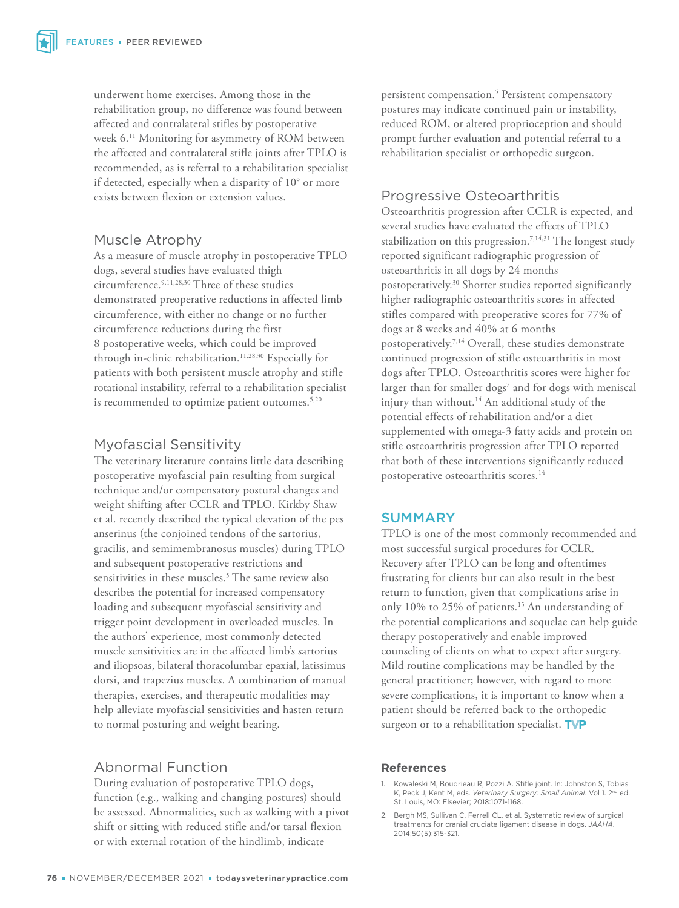underwent home exercises. Among those in the rehabilitation group, no difference was found between affected and contralateral stifles by postoperative week 6.11 Monitoring for asymmetry of ROM between the affected and contralateral stifle joints after TPLO is recommended, as is referral to a rehabilitation specialist if detected, especially when a disparity of 10° or more exists between flexion or extension values.

## Muscle Atrophy

As a measure of muscle atrophy in postoperative TPLO dogs, several studies have evaluated thigh circumference.9,11,28,30 Three of these studies demonstrated preoperative reductions in affected limb circumference, with either no change or no further circumference reductions during the first 8 postoperative weeks, which could be improved through in-clinic rehabilitation.<sup>11,28,30</sup> Especially for patients with both persistent muscle atrophy and stifle rotational instability, referral to a rehabilitation specialist is recommended to optimize patient outcomes.<sup>5,20</sup>

## Myofascial Sensitivity

The veterinary literature contains little data describing postoperative myofascial pain resulting from surgical technique and/or compensatory postural changes and weight shifting after CCLR and TPLO. Kirkby Shaw et al. recently described the typical elevation of the pes anserinus (the conjoined tendons of the sartorius, gracilis, and semimembranosus muscles) during TPLO and subsequent postoperative restrictions and sensitivities in these muscles.5 The same review also describes the potential for increased compensatory loading and subsequent myofascial sensitivity and trigger point development in overloaded muscles. In the authors' experience, most commonly detected muscle sensitivities are in the affected limb's sartorius and iliopsoas, bilateral thoracolumbar epaxial, latissimus dorsi, and trapezius muscles. A combination of manual therapies, exercises, and therapeutic modalities may help alleviate myofascial sensitivities and hasten return to normal posturing and weight bearing.

# Abnormal Function

During evaluation of postoperative TPLO dogs, function (e.g., walking and changing postures) should be assessed. Abnormalities, such as walking with a pivot shift or sitting with reduced stifle and/or tarsal flexion or with external rotation of the hindlimb, indicate

persistent compensation.<sup>5</sup> Persistent compensatory postures may indicate continued pain or instability, reduced ROM, or altered proprioception and should prompt further evaluation and potential referral to a rehabilitation specialist or orthopedic surgeon.

## Progressive Osteoarthritis

Osteoarthritis progression after CCLR is expected, and several studies have evaluated the effects of TPLO stabilization on this progression.7,14,31 The longest study reported significant radiographic progression of osteoarthritis in all dogs by 24 months postoperatively.30 Shorter studies reported significantly higher radiographic osteoarthritis scores in affected stifles compared with preoperative scores for 77% of dogs at 8 weeks and 40% at 6 months postoperatively.7,14 Overall, these studies demonstrate continued progression of stifle osteoarthritis in most dogs after TPLO. Osteoarthritis scores were higher for larger than for smaller dogs<sup>7</sup> and for dogs with meniscal injury than without.14 An additional study of the potential effects of rehabilitation and/or a diet supplemented with omega-3 fatty acids and protein on stifle osteoarthritis progression after TPLO reported that both of these interventions significantly reduced postoperative osteoarthritis scores.<sup>14</sup>

### SUMMARY

TPLO is one of the most commonly recommended and most successful surgical procedures for CCLR. Recovery after TPLO can be long and oftentimes frustrating for clients but can also result in the best return to function, given that complications arise in only 10% to 25% of patients.<sup>15</sup> An understanding of the potential complications and sequelae can help guide therapy postoperatively and enable improved counseling of clients on what to expect after surgery. Mild routine complications may be handled by the general practitioner; however, with regard to more severe complications, it is important to know when a patient should be referred back to the orthopedic surgeon or to a rehabilitation specialist. TVP

#### **References**

- 1. Kowaleski M, Boudrieau R, Pozzi A. Stifle joint. In: Johnston S, Tobias K, Peck J, Kent M, eds. *Veterinary Surgery: Small Animal*. Vol 1. 2nd ed. St. Louis, MO: Elsevier; 2018:1071-1168.
- 2. Bergh MS, Sullivan C, Ferrell CL, et al. Systematic review of surgical treatments for cranial cruciate ligament disease in dogs. *JAAHA*. 2014;50(5):315-321.